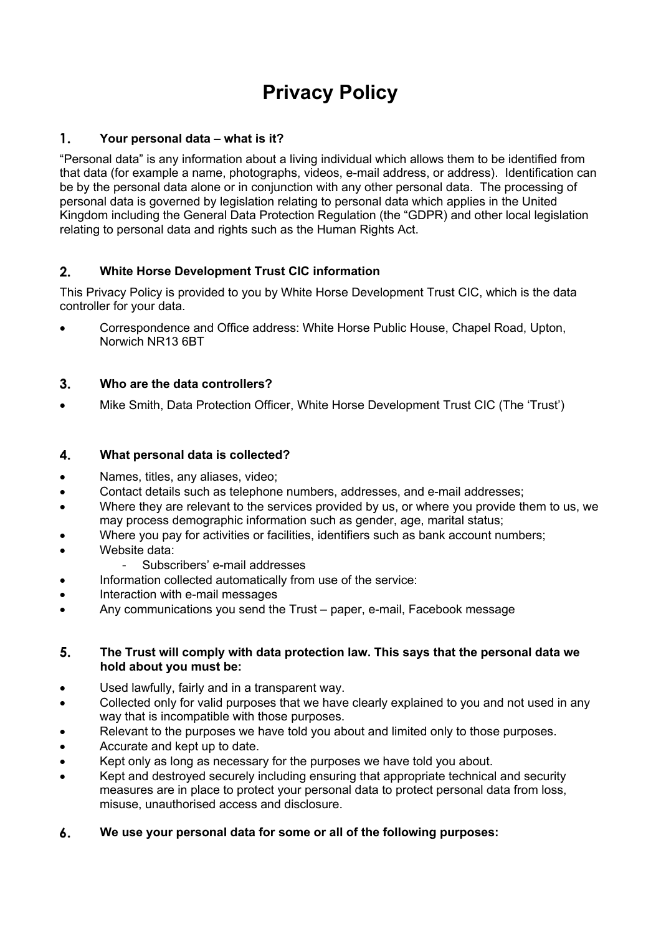# **Privacy Policy**

# $\mathbf{1}$ . **Your personal data – what is it?**

"Personal data" is any information about a living individual which allows them to be identified from that data (for example a name, photographs, videos, e-mail address, or address). Identification can be by the personal data alone or in conjunction with any other personal data. The processing of personal data is governed by legislation relating to personal data which applies in the United Kingdom including the General Data Protection Regulation (the "GDPR) and other local legislation relating to personal data and rights such as the Human Rights Act.

# $2<sub>1</sub>$ **White Horse Development Trust CIC information**

This Privacy Policy is provided to you by White Horse Development Trust CIC, which is the data controller for your data.

• Correspondence and Office address: White Horse Public House, Chapel Road, Upton, Norwich NR13 6BT

# $3<sub>1</sub>$ **Who are the data controllers?**

• Mike Smith, Data Protection Officer, White Horse Development Trust CIC (The 'Trust')

#### 4. **What personal data is collected?**

- Names, titles, any aliases, video;
- Contact details such as telephone numbers, addresses, and e-mail addresses;
- Where they are relevant to the services provided by us, or where you provide them to us, we may process demographic information such as gender, age, marital status;
- Where you pay for activities or facilities, identifiers such as bank account numbers;
- Website data:
	- Subscribers' e-mail addresses
- Information collected automatically from use of the service:
- Interaction with e-mail messages
- Any communications you send the Trust paper, e-mail, Facebook message

# 5. **The Trust will comply with data protection law. This says that the personal data we hold about you must be:**

- Used lawfully, fairly and in a transparent way.
- Collected only for valid purposes that we have clearly explained to you and not used in any way that is incompatible with those purposes.
- Relevant to the purposes we have told you about and limited only to those purposes.
- Accurate and kept up to date.
- Kept only as long as necessary for the purposes we have told you about.
- Kept and destroyed securely including ensuring that appropriate technical and security measures are in place to protect your personal data to protect personal data from loss, misuse, unauthorised access and disclosure.
- 6. **We use your personal data for some or all of the following purposes:**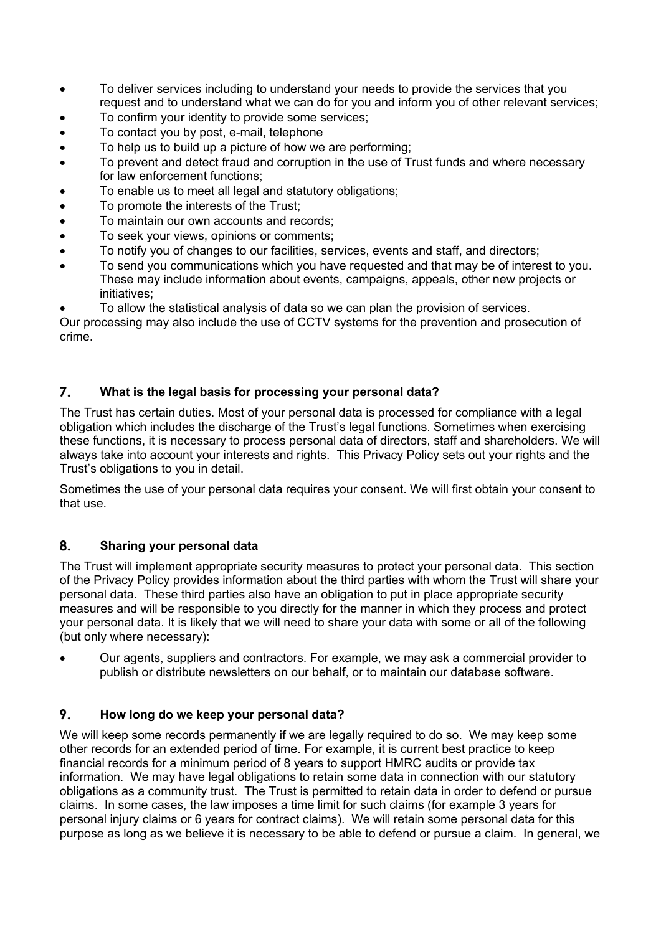- To deliver services including to understand your needs to provide the services that you request and to understand what we can do for you and inform you of other relevant services;
- To confirm your identity to provide some services:
- To contact you by post, e-mail, telephone
- To help us to build up a picture of how we are performing;
- To prevent and detect fraud and corruption in the use of Trust funds and where necessary for law enforcement functions;
- To enable us to meet all legal and statutory obligations;
- To promote the interests of the Trust;
- To maintain our own accounts and records;
- To seek your views, opinions or comments;
- To notify you of changes to our facilities, services, events and staff, and directors;
- To send you communications which you have requested and that may be of interest to you. These may include information about events, campaigns, appeals, other new projects or initiatives;

• To allow the statistical analysis of data so we can plan the provision of services.

Our processing may also include the use of CCTV systems for the prevention and prosecution of crime.

#### 7. **What is the legal basis for processing your personal data?**

The Trust has certain duties. Most of your personal data is processed for compliance with a legal obligation which includes the discharge of the Trust's legal functions. Sometimes when exercising these functions, it is necessary to process personal data of directors, staff and shareholders. We will always take into account your interests and rights. This Privacy Policy sets out your rights and the Trust's obligations to you in detail.

Sometimes the use of your personal data requires your consent. We will first obtain your consent to that use.

#### 8. **Sharing your personal data**

The Trust will implement appropriate security measures to protect your personal data. This section of the Privacy Policy provides information about the third parties with whom the Trust will share your personal data. These third parties also have an obligation to put in place appropriate security measures and will be responsible to you directly for the manner in which they process and protect your personal data. It is likely that we will need to share your data with some or all of the following (but only where necessary):

• Our agents, suppliers and contractors. For example, we may ask a commercial provider to publish or distribute newsletters on our behalf, or to maintain our database software.

#### 9. **How long do we keep your personal data?**

We will keep some records permanently if we are legally required to do so. We may keep some other records for an extended period of time. For example, it is current best practice to keep financial records for a minimum period of 8 years to support HMRC audits or provide tax information. We may have legal obligations to retain some data in connection with our statutory obligations as a community trust. The Trust is permitted to retain data in order to defend or pursue claims. In some cases, the law imposes a time limit for such claims (for example 3 years for personal injury claims or 6 years for contract claims). We will retain some personal data for this purpose as long as we believe it is necessary to be able to defend or pursue a claim. In general, we